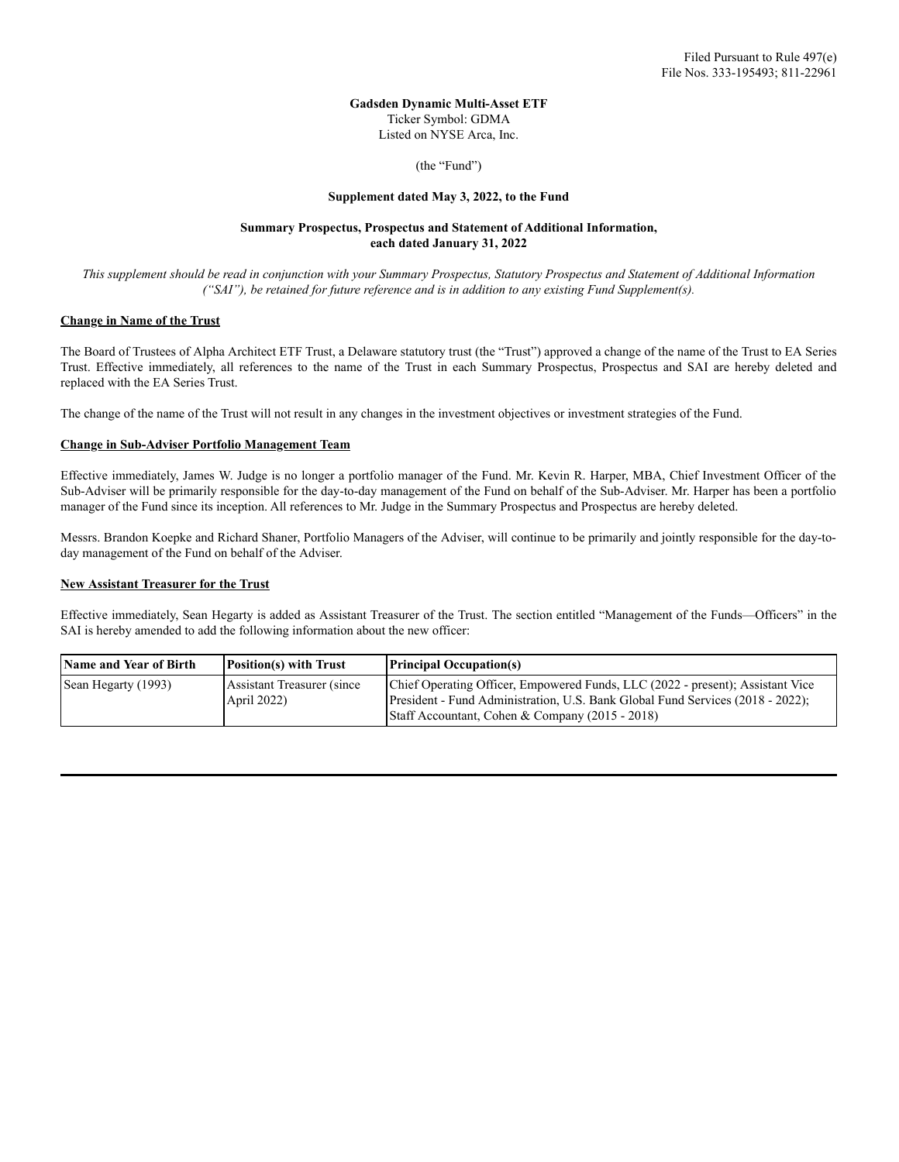# **Gadsden Dynamic Multi-Asset ETF** Ticker Symbol: GDMA Listed on NYSE Arca, Inc.

(the "Fund")

#### **Supplement dated May 3, 2022, to the Fund**

# **Summary Prospectus, Prospectus and Statement of Additional Information, each dated January 31, 2022**

This supplement should be read in conjunction with your Summary Prospectus, Statutory Prospectus and Statement of Additional Information *("SAI"), be retained for future reference and is in addition to any existing Fund Supplement(s).*

#### **Change in Name of the Trust**

The Board of Trustees of Alpha Architect ETF Trust, a Delaware statutory trust (the "Trust") approved a change of the name of the Trust to EA Series Trust. Effective immediately, all references to the name of the Trust in each Summary Prospectus, Prospectus and SAI are hereby deleted and replaced with the EA Series Trust.

The change of the name of the Trust will not result in any changes in the investment objectives or investment strategies of the Fund.

## **Change in Sub-Adviser Portfolio Management Team**

Effective immediately, James W. Judge is no longer a portfolio manager of the Fund. Mr. Kevin R. Harper, MBA, Chief Investment Officer of the Sub-Adviser will be primarily responsible for the day-to-day management of the Fund on behalf of the Sub-Adviser. Mr. Harper has been a portfolio manager of the Fund since its inception. All references to Mr. Judge in the Summary Prospectus and Prospectus are hereby deleted.

Messrs. Brandon Koepke and Richard Shaner, Portfolio Managers of the Adviser, will continue to be primarily and jointly responsible for the day-today management of the Fund on behalf of the Adviser.

# **New Assistant Treasurer for the Trust**

Effective immediately, Sean Hegarty is added as Assistant Treasurer of the Trust. The section entitled "Management of the Funds—Officers" in the SAI is hereby amended to add the following information about the new officer:

| Name and Year of Birth | <b>Position(s)</b> with Trust             | <b>Principal Occupation(s)</b>                                                                                                                                                                                      |
|------------------------|-------------------------------------------|---------------------------------------------------------------------------------------------------------------------------------------------------------------------------------------------------------------------|
| Sean Hegarty (1993)    | Assistant Treasurer (since<br>April 2022) | Chief Operating Officer, Empowered Funds, LLC (2022 - present); Assistant Vice<br>President - Fund Administration, U.S. Bank Global Fund Services (2018 - 2022);<br>Staff Accountant, Cohen & Company (2015 - 2018) |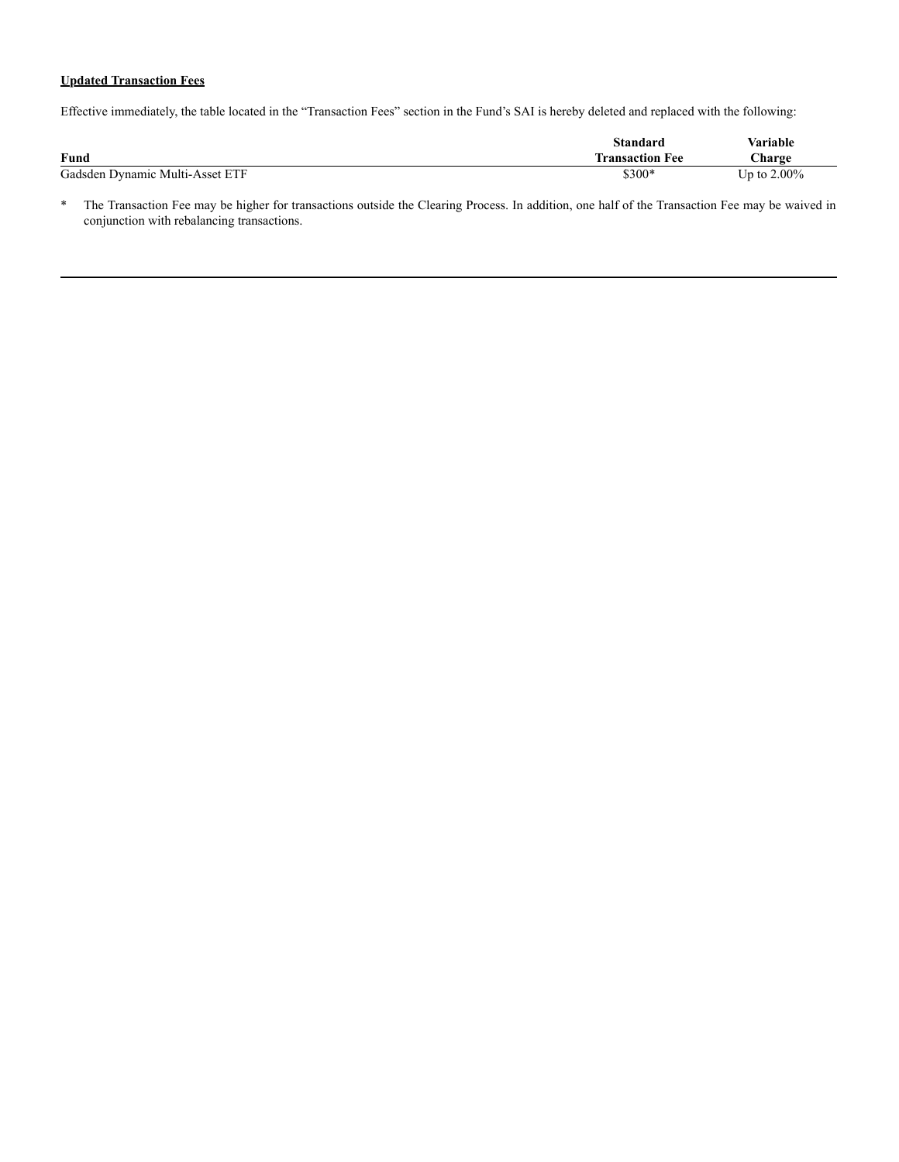# **Updated Transaction Fees**

Effective immediately, the table located in the "Transaction Fees" section in the Fund's SAI is hereby deleted and replaced with the following:

|                                 | Standard               | Variable       |
|---------------------------------|------------------------|----------------|
| Fund                            | <b>Transaction Fee</b> | <b>Charge</b>  |
| Gadsden Dynamic Multi-Asset ETF | \$300*                 | Up to $2.00\%$ |

\* The Transaction Fee may be higher for transactions outside the Clearing Process. In addition, one half of the Transaction Fee may be waived in conjunction with rebalancing transactions.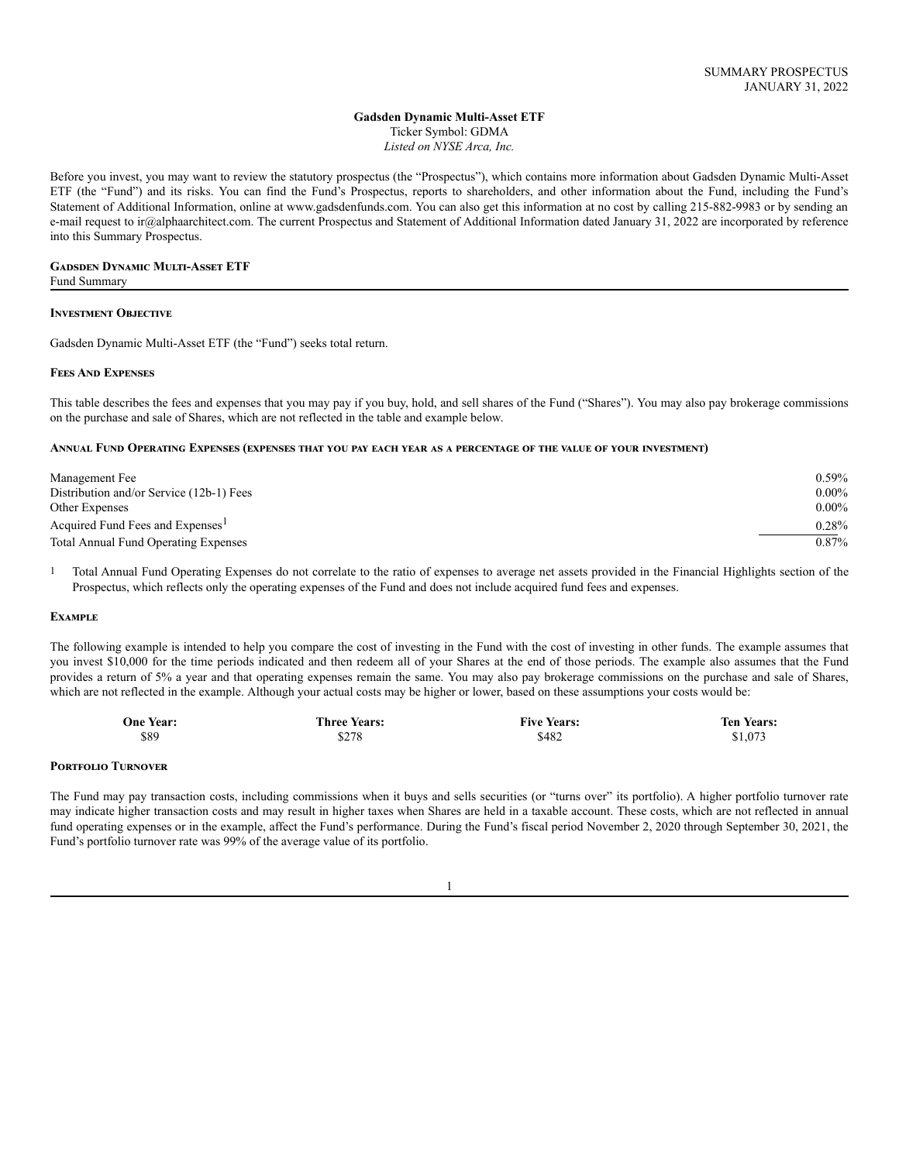# **Gadsden Dynamic Multi-Asset ETF**

Ticker Symbol: GDMA *Listed on NYSE Arca, Inc.*

Before you invest, you may want to review the statutory prospectus (the "Prospectus"), which contains more information about Gadsden Dynamic Multi-Asset ETF (the "Fund") and its risks. You can find the Fund's Prospectus, reports to shareholders, and other information about the Fund, including the Fund's Statement of Additional Information, online at www.gadsdenfunds.com. You can also get this information at no cost by calling 215-882-9983 or by sending an e-mail request to ir@alphaarchitect.com. The current Prospectus and Statement of Additional Information dated January 31, 2022 are incorporated by reference into this Summary Prospectus.

# **Gadsden Dynamic Multi-Asset ETF**

Fund Summary

#### **Investment Objective**

Gadsden Dynamic Multi-Asset ETF (the "Fund") seeks total return.

## **Fees And Expenses**

This table describes the fees and expenses that you may pay if you buy, hold, and sell shares of the Fund ("Shares"). You may also pay brokerage commissions on the purchase and sale of Shares, which are not reflected in the table and example below.

#### ANNUAL FUND OPERATING EXPENSES (EXPENSES THAT YOU PAY EACH YEAR AS A PERCENTAGE OF THE VALUE OF YOUR INVESTMENT)

| Management Fee                               | $0.59\%$ |
|----------------------------------------------|----------|
| Distribution and/or Service (12b-1) Fees     | $0.00\%$ |
| Other Expenses                               | $0.00\%$ |
| Acquired Fund Fees and Expenses <sup>1</sup> | $0.28\%$ |
| <b>Total Annual Fund Operating Expenses</b>  | $0.87\%$ |

1 Total Annual Fund Operating Expenses do not correlate to the ratio of expenses to average net assets provided in the Financial Highlights section of the Prospectus, which reflects only the operating expenses of the Fund and does not include acquired fund fees and expenses.

#### **Example**

The following example is intended to help you compare the cost of investing in the Fund with the cost of investing in other funds. The example assumes that you invest \$10,000 for the time periods indicated and then redeem all of your Shares at the end of those periods. The example also assumes that the Fund provides a return of 5% a year and that operating expenses remain the same. You may also pay brokerage commissions on the purchase and sale of Shares, which are not reflected in the example. Although your actual costs may be higher or lower, based on these assumptions your costs would be:

| <b>One Year:</b> | <b>Three Years:</b> | <b>Five Years:</b> | <b>Ten Years:</b> |
|------------------|---------------------|--------------------|-------------------|
| \$89             | \$278               | \$482              | \$1,073           |

#### **Portfolio Turnover**

The Fund may pay transaction costs, including commissions when it buys and sells securities (or "turns over" its portfolio). A higher portfolio turnover rate may indicate higher transaction costs and may result in higher taxes when Shares are held in a taxable account. These costs, which are not reflected in annual fund operating expenses or in the example, affect the Fund's performance. During the Fund's fiscal period November 2, 2020 through September 30, 2021, the Fund's portfolio turnover rate was 99% of the average value of its portfolio.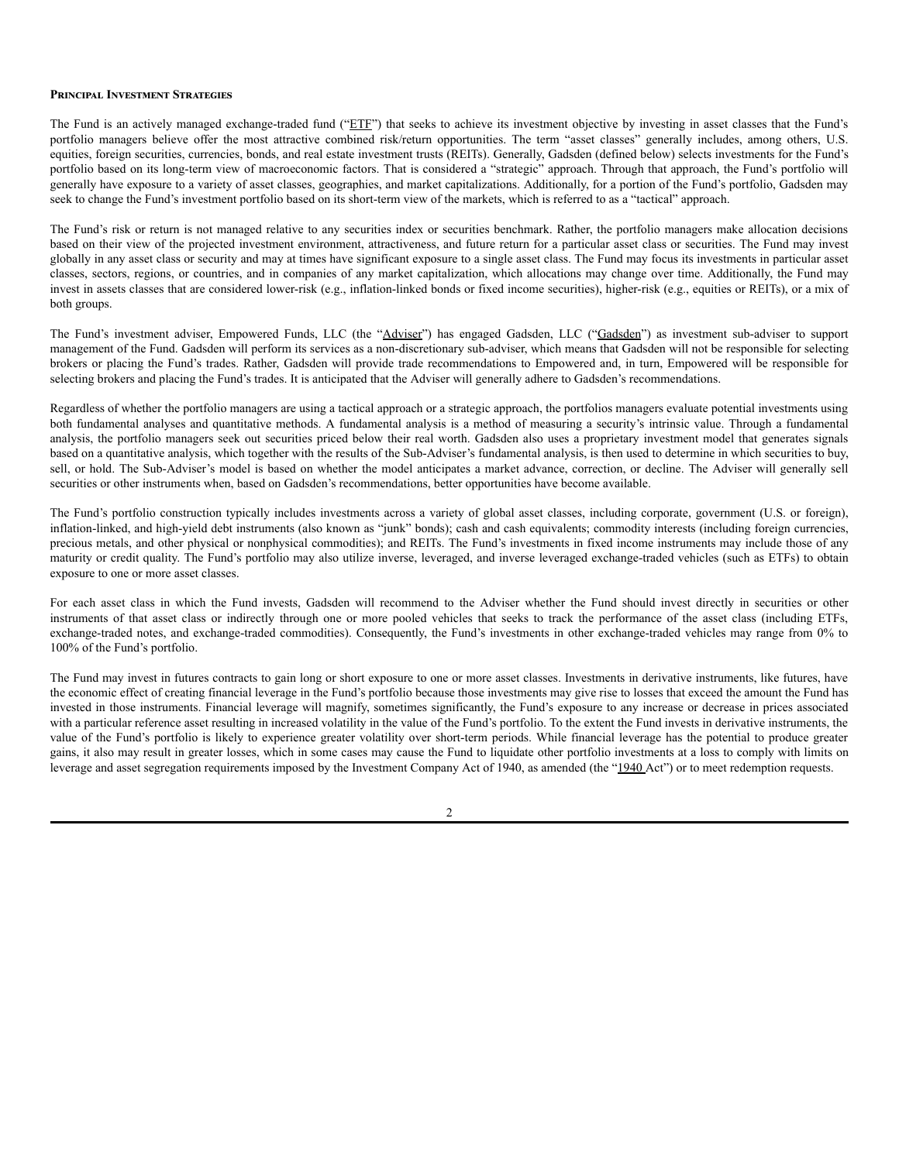#### **Principal Investment Strategies**

The Fund is an actively managed exchange-traded fund ("ETF") that seeks to achieve its investment objective by investing in asset classes that the Fund's portfolio managers believe offer the most attractive combined risk/return opportunities. The term "asset classes" generally includes, among others, U.S. equities, foreign securities, currencies, bonds, and real estate investment trusts (REITs). Generally, Gadsden (defined below) selects investments for the Fund's portfolio based on its long-term view of macroeconomic factors. That is considered a "strategic" approach. Through that approach, the Fund's portfolio will generally have exposure to a variety of asset classes, geographies, and market capitalizations. Additionally, for a portion of the Fund's portfolio, Gadsden may seek to change the Fund's investment portfolio based on its short-term view of the markets, which is referred to as a "tactical" approach.

The Fund's risk or return is not managed relative to any securities index or securities benchmark. Rather, the portfolio managers make allocation decisions based on their view of the projected investment environment, attractiveness, and future return for a particular asset class or securities. The Fund may invest globally in any asset class or security and may at times have significant exposure to a single asset class. The Fund may focus its investments in particular asset classes, sectors, regions, or countries, and in companies of any market capitalization, which allocations may change over time. Additionally, the Fund may invest in assets classes that are considered lower-risk (e.g., inflation-linked bonds or fixed income securities), higher-risk (e.g., equities or REITs), or a mix of both groups.

The Fund's investment adviser, Empowered Funds, LLC (the "Adviser") has engaged Gadsden, LLC ("Gadsden") as investment sub-adviser to support management of the Fund. Gadsden will perform its services as a non-discretionary sub-adviser, which means that Gadsden will not be responsible for selecting brokers or placing the Fund's trades. Rather, Gadsden will provide trade recommendations to Empowered and, in turn, Empowered will be responsible for selecting brokers and placing the Fund's trades. It is anticipated that the Adviser will generally adhere to Gadsden's recommendations.

Regardless of whether the portfolio managers are using a tactical approach or a strategic approach, the portfolios managers evaluate potential investments using both fundamental analyses and quantitative methods. A fundamental analysis is a method of measuring a security's intrinsic value. Through a fundamental analysis, the portfolio managers seek out securities priced below their real worth. Gadsden also uses a proprietary investment model that generates signals based on a quantitative analysis, which together with the results of the Sub-Adviser's fundamental analysis, is then used to determine in which securities to buy, sell, or hold. The Sub-Adviser's model is based on whether the model anticipates a market advance, correction, or decline. The Adviser will generally sell securities or other instruments when, based on Gadsden's recommendations, better opportunities have become available.

The Fund's portfolio construction typically includes investments across a variety of global asset classes, including corporate, government (U.S. or foreign), inflation-linked, and high-yield debt instruments (also known as "junk" bonds); cash and cash equivalents; commodity interests (including foreign currencies, precious metals, and other physical or nonphysical commodities); and REITs. The Fund's investments in fixed income instruments may include those of any maturity or credit quality. The Fund's portfolio may also utilize inverse, leveraged, and inverse leveraged exchange-traded vehicles (such as ETFs) to obtain exposure to one or more asset classes.

For each asset class in which the Fund invests, Gadsden will recommend to the Adviser whether the Fund should invest directly in securities or other instruments of that asset class or indirectly through one or more pooled vehicles that seeks to track the performance of the asset class (including ETFs, exchange-traded notes, and exchange-traded commodities). Consequently, the Fund's investments in other exchange-traded vehicles may range from 0% to 100% of the Fund's portfolio.

The Fund may invest in futures contracts to gain long or short exposure to one or more asset classes. Investments in derivative instruments, like futures, have the economic effect of creating financial leverage in the Fund's portfolio because those investments may give rise to losses that exceed the amount the Fund has invested in those instruments. Financial leverage will magnify, sometimes significantly, the Fund's exposure to any increase or decrease in prices associated with a particular reference asset resulting in increased volatility in the value of the Fund's portfolio. To the extent the Fund invests in derivative instruments, the value of the Fund's portfolio is likely to experience greater volatility over short-term periods. While financial leverage has the potential to produce greater gains, it also may result in greater losses, which in some cases may cause the Fund to liquidate other portfolio investments at a loss to comply with limits on leverage and asset segregation requirements imposed by the Investment Company Act of 1940, as amended (the "1940 Act") or to meet redemption requests.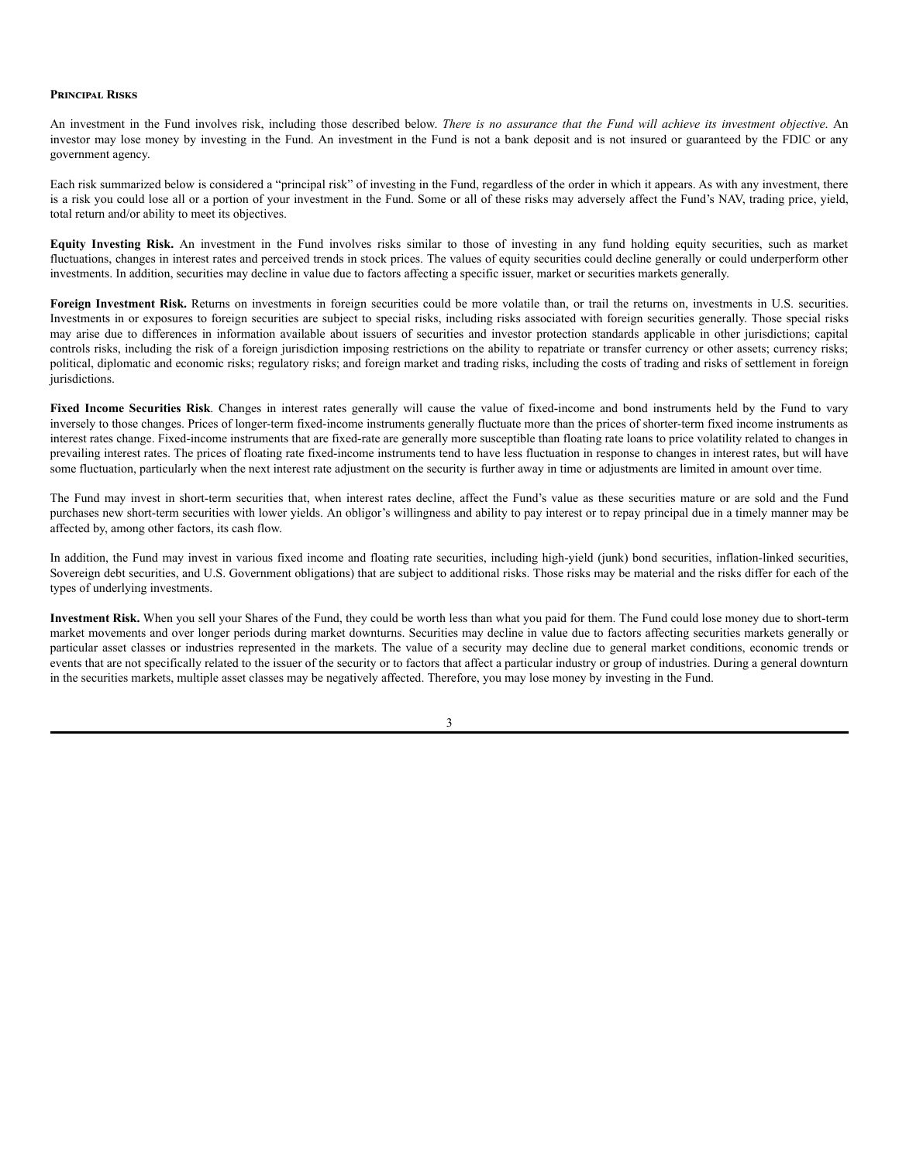#### **Principal Risks**

An investment in the Fund involves risk, including those described below. There is no assurance that the Fund will achieve its investment objective. An investor may lose money by investing in the Fund. An investment in the Fund is not a bank deposit and is not insured or guaranteed by the FDIC or any government agency.

Each risk summarized below is considered a "principal risk" of investing in the Fund, regardless of the order in which it appears. As with any investment, there is a risk you could lose all or a portion of your investment in the Fund. Some or all of these risks may adversely affect the Fund's NAV, trading price, yield, total return and/or ability to meet its objectives.

**Equity Investing Risk.** An investment in the Fund involves risks similar to those of investing in any fund holding equity securities, such as market fluctuations, changes in interest rates and perceived trends in stock prices. The values of equity securities could decline generally or could underperform other investments. In addition, securities may decline in value due to factors affecting a specific issuer, market or securities markets generally.

Foreign Investment Risk. Returns on investments in foreign securities could be more volatile than, or trail the returns on, investments in U.S. securities. Investments in or exposures to foreign securities are subject to special risks, including risks associated with foreign securities generally. Those special risks may arise due to differences in information available about issuers of securities and investor protection standards applicable in other jurisdictions; capital controls risks, including the risk of a foreign jurisdiction imposing restrictions on the ability to repatriate or transfer currency or other assets; currency risks; political, diplomatic and economic risks; regulatory risks; and foreign market and trading risks, including the costs of trading and risks of settlement in foreign jurisdictions.

**Fixed Income Securities Risk**. Changes in interest rates generally will cause the value of fixed-income and bond instruments held by the Fund to vary inversely to those changes. Prices of longer-term fixed-income instruments generally fluctuate more than the prices of shorter-term fixed income instruments as interest rates change. Fixed-income instruments that are fixed-rate are generally more susceptible than floating rate loans to price volatility related to changes in prevailing interest rates. The prices of floating rate fixed-income instruments tend to have less fluctuation in response to changes in interest rates, but will have some fluctuation, particularly when the next interest rate adjustment on the security is further away in time or adjustments are limited in amount over time.

The Fund may invest in short-term securities that, when interest rates decline, affect the Fund's value as these securities mature or are sold and the Fund purchases new short-term securities with lower yields. An obligor's willingness and ability to pay interest or to repay principal due in a timely manner may be affected by, among other factors, its cash flow.

In addition, the Fund may invest in various fixed income and floating rate securities, including high-yield (junk) bond securities, inflation-linked securities, Sovereign debt securities, and U.S. Government obligations) that are subject to additional risks. Those risks may be material and the risks differ for each of the types of underlying investments.

**Investment Risk.** When you sell your Shares of the Fund, they could be worth less than what you paid for them. The Fund could lose money due to short-term market movements and over longer periods during market downturns. Securities may decline in value due to factors affecting securities markets generally or particular asset classes or industries represented in the markets. The value of a security may decline due to general market conditions, economic trends or events that are not specifically related to the issuer of the security or to factors that affect a particular industry or group of industries. During a general downturn in the securities markets, multiple asset classes may be negatively affected. Therefore, you may lose money by investing in the Fund.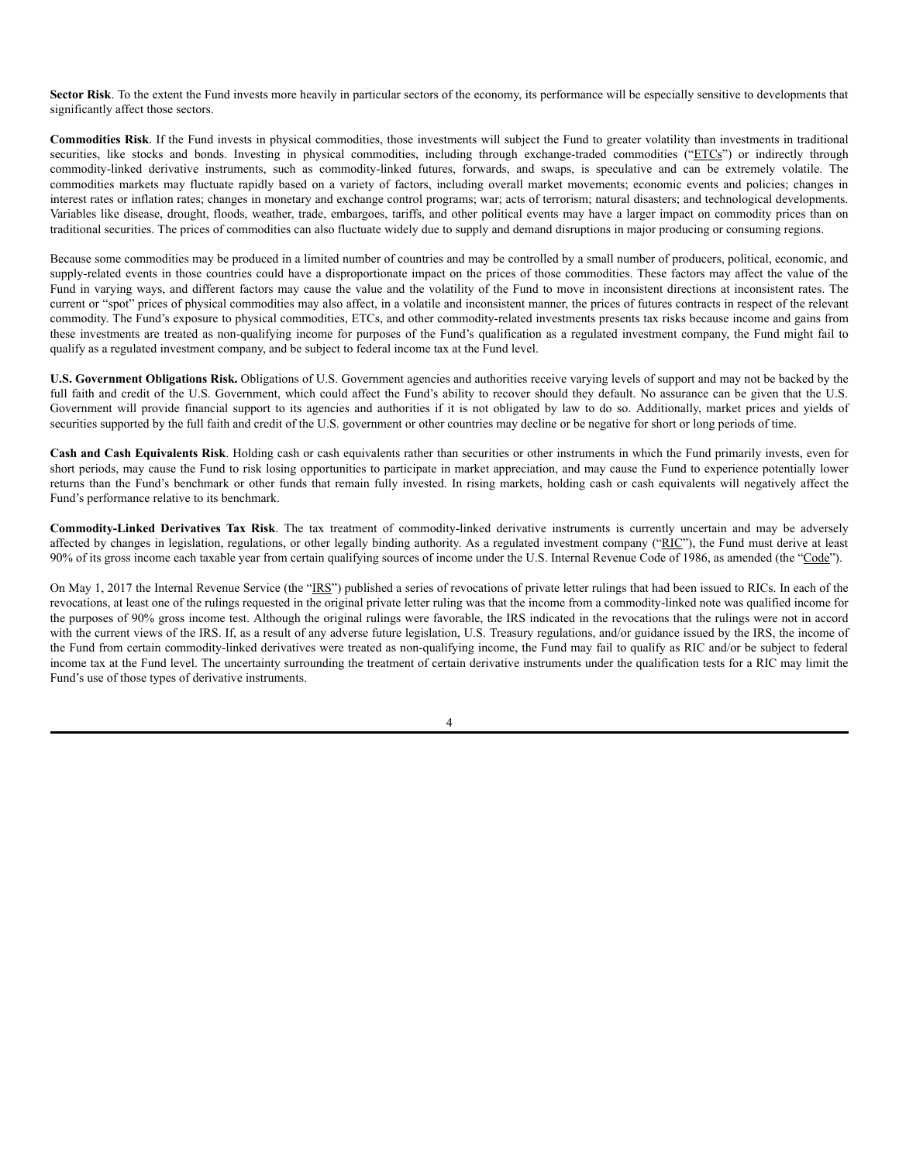Sector Risk. To the extent the Fund invests more heavily in particular sectors of the economy, its performance will be especially sensitive to developments that significantly affect those sectors.

**Commodities Risk**. If the Fund invests in physical commodities, those investments will subject the Fund to greater volatility than investments in traditional securities, like stocks and bonds. Investing in physical commodities, including through exchange-traded commodities ("ETCs") or indirectly through commodity-linked derivative instruments, such as commodity-linked futures, forwards, and swaps, is speculative and can be extremely volatile. The commodities markets may fluctuate rapidly based on a variety of factors, including overall market movements; economic events and policies; changes in interest rates or inflation rates; changes in monetary and exchange control programs; war; acts of terrorism; natural disasters; and technological developments. Variables like disease, drought, floods, weather, trade, embargoes, tariffs, and other political events may have a larger impact on commodity prices than on traditional securities. The prices of commodities can also fluctuate widely due to supply and demand disruptions in major producing or consuming regions.

Because some commodities may be produced in a limited number of countries and may be controlled by a small number of producers, political, economic, and supply-related events in those countries could have a disproportionate impact on the prices of those commodities. These factors may affect the value of the Fund in varying ways, and different factors may cause the value and the volatility of the Fund to move in inconsistent directions at inconsistent rates. The current or "spot" prices of physical commodities may also affect, in a volatile and inconsistent manner, the prices of futures contracts in respect of the relevant commodity. The Fund's exposure to physical commodities, ETCs, and other commodity-related investments presents tax risks because income and gains from these investments are treated as non-qualifying income for purposes of the Fund's qualification as a regulated investment company, the Fund might fail to qualify as a regulated investment company, and be subject to federal income tax at the Fund level.

**U.S. Government Obligations Risk.** Obligations of U.S. Government agencies and authorities receive varying levels of support and may not be backed by the full faith and credit of the U.S. Government, which could affect the Fund's ability to recover should they default. No assurance can be given that the U.S. Government will provide financial support to its agencies and authorities if it is not obligated by law to do so. Additionally, market prices and yields of securities supported by the full faith and credit of the U.S. government or other countries may decline or be negative for short or long periods of time.

**Cash and Cash Equivalents Risk**. Holding cash or cash equivalents rather than securities or other instruments in which the Fund primarily invests, even for short periods, may cause the Fund to risk losing opportunities to participate in market appreciation, and may cause the Fund to experience potentially lower returns than the Fund's benchmark or other funds that remain fully invested. In rising markets, holding cash or cash equivalents will negatively affect the Fund's performance relative to its benchmark.

**Commodity-Linked Derivatives Tax Risk**. The tax treatment of commodity-linked derivative instruments is currently uncertain and may be adversely affected by changes in legislation, regulations, or other legally binding authority. As a regulated investment company ("RIC"), the Fund must derive at least 90% of its gross income each taxable year from certain qualifying sources of income under the U.S. Internal Revenue Code of 1986, as amended (the "Code").

On May 1, 2017 the Internal Revenue Service (the "IRS") published a series of revocations of private letter rulings that had been issued to RICs. In each of the revocations, at least one of the rulings requested in the original private letter ruling was that the income from a commodity-linked note was qualified income for the purposes of 90% gross income test. Although the original rulings were favorable, the IRS indicated in the revocations that the rulings were not in accord with the current views of the IRS. If, as a result of any adverse future legislation, U.S. Treasury regulations, and/or guidance issued by the IRS, the income of the Fund from certain commodity-linked derivatives were treated as non-qualifying income, the Fund may fail to qualify as RIC and/or be subject to federal income tax at the Fund level. The uncertainty surrounding the treatment of certain derivative instruments under the qualification tests for a RIC may limit the Fund's use of those types of derivative instruments.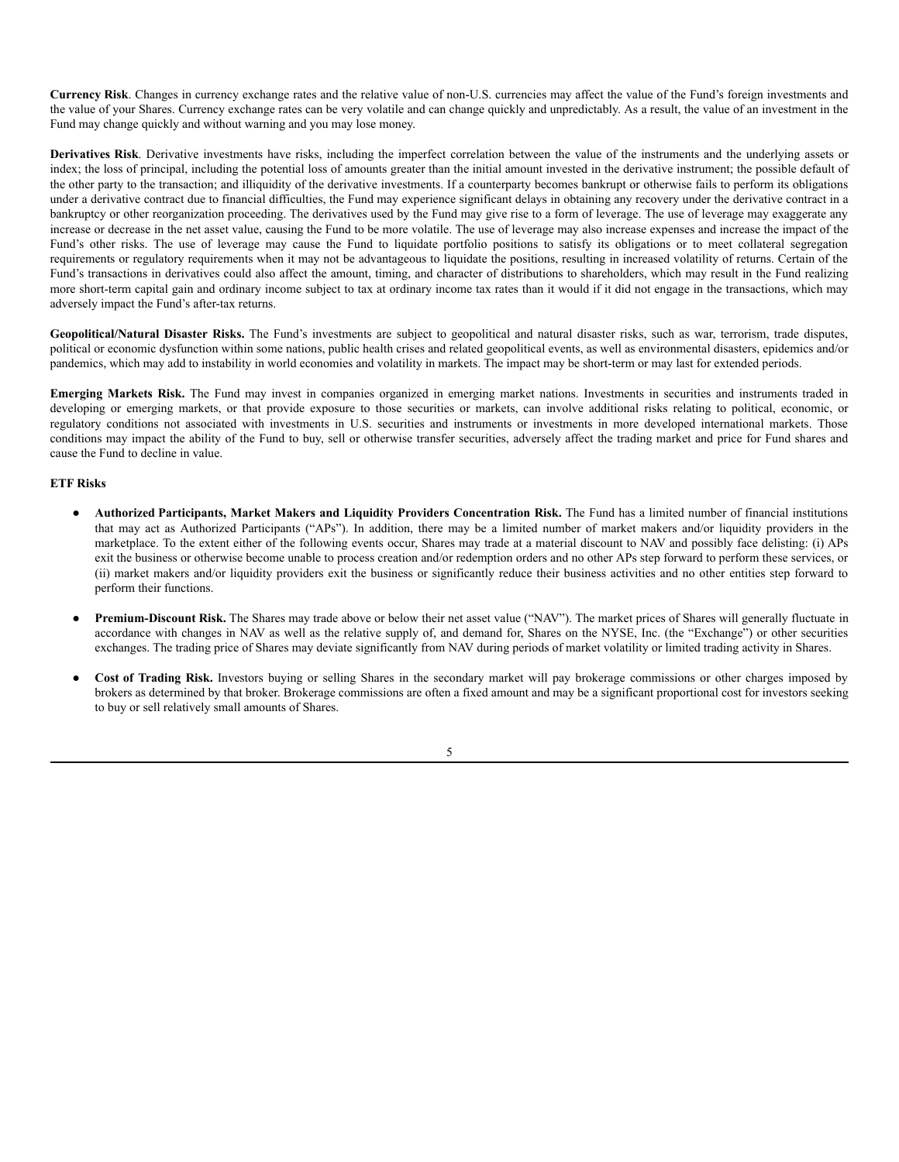**Currency Risk**. Changes in currency exchange rates and the relative value of non-U.S. currencies may affect the value of the Fund's foreign investments and the value of your Shares. Currency exchange rates can be very volatile and can change quickly and unpredictably. As a result, the value of an investment in the Fund may change quickly and without warning and you may lose money.

**Derivatives Risk**. Derivative investments have risks, including the imperfect correlation between the value of the instruments and the underlying assets or index; the loss of principal, including the potential loss of amounts greater than the initial amount invested in the derivative instrument; the possible default of the other party to the transaction; and illiquidity of the derivative investments. If a counterparty becomes bankrupt or otherwise fails to perform its obligations under a derivative contract due to financial difficulties, the Fund may experience significant delays in obtaining any recovery under the derivative contract in a bankruptcy or other reorganization proceeding. The derivatives used by the Fund may give rise to a form of leverage. The use of leverage may exaggerate any increase or decrease in the net asset value, causing the Fund to be more volatile. The use of leverage may also increase expenses and increase the impact of the Fund's other risks. The use of leverage may cause the Fund to liquidate portfolio positions to satisfy its obligations or to meet collateral segregation requirements or regulatory requirements when it may not be advantageous to liquidate the positions, resulting in increased volatility of returns. Certain of the Fund's transactions in derivatives could also affect the amount, timing, and character of distributions to shareholders, which may result in the Fund realizing more short-term capital gain and ordinary income subject to tax at ordinary income tax rates than it would if it did not engage in the transactions, which may adversely impact the Fund's after-tax returns.

**Geopolitical/Natural Disaster Risks.** The Fund's investments are subject to geopolitical and natural disaster risks, such as war, terrorism, trade disputes, political or economic dysfunction within some nations, public health crises and related geopolitical events, as well as environmental disasters, epidemics and/or pandemics, which may add to instability in world economies and volatility in markets. The impact may be short-term or may last for extended periods.

**Emerging Markets Risk.** The Fund may invest in companies organized in emerging market nations. Investments in securities and instruments traded in developing or emerging markets, or that provide exposure to those securities or markets, can involve additional risks relating to political, economic, or regulatory conditions not associated with investments in U.S. securities and instruments or investments in more developed international markets. Those conditions may impact the ability of the Fund to buy, sell or otherwise transfer securities, adversely affect the trading market and price for Fund shares and cause the Fund to decline in value.

#### **ETF Risks**

- **Authorized Participants, Market Makers and Liquidity Providers Concentration Risk.** The Fund has a limited number of financial institutions that may act as Authorized Participants ("APs"). In addition, there may be a limited number of market makers and/or liquidity providers in the marketplace. To the extent either of the following events occur, Shares may trade at a material discount to NAV and possibly face delisting: (i) APs exit the business or otherwise become unable to process creation and/or redemption orders and no other APs step forward to perform these services, or (ii) market makers and/or liquidity providers exit the business or significantly reduce their business activities and no other entities step forward to perform their functions.
- Premium-Discount Risk. The Shares may trade above or below their net asset value ("NAV"). The market prices of Shares will generally fluctuate in accordance with changes in NAV as well as the relative supply of, and demand for, Shares on the NYSE, Inc. (the "Exchange") or other securities exchanges. The trading price of Shares may deviate significantly from NAV during periods of market volatility or limited trading activity in Shares.
- **Cost of Trading Risk.** Investors buying or selling Shares in the secondary market will pay brokerage commissions or other charges imposed by brokers as determined by that broker. Brokerage commissions are often a fixed amount and may be a significant proportional cost for investors seeking to buy or sell relatively small amounts of Shares.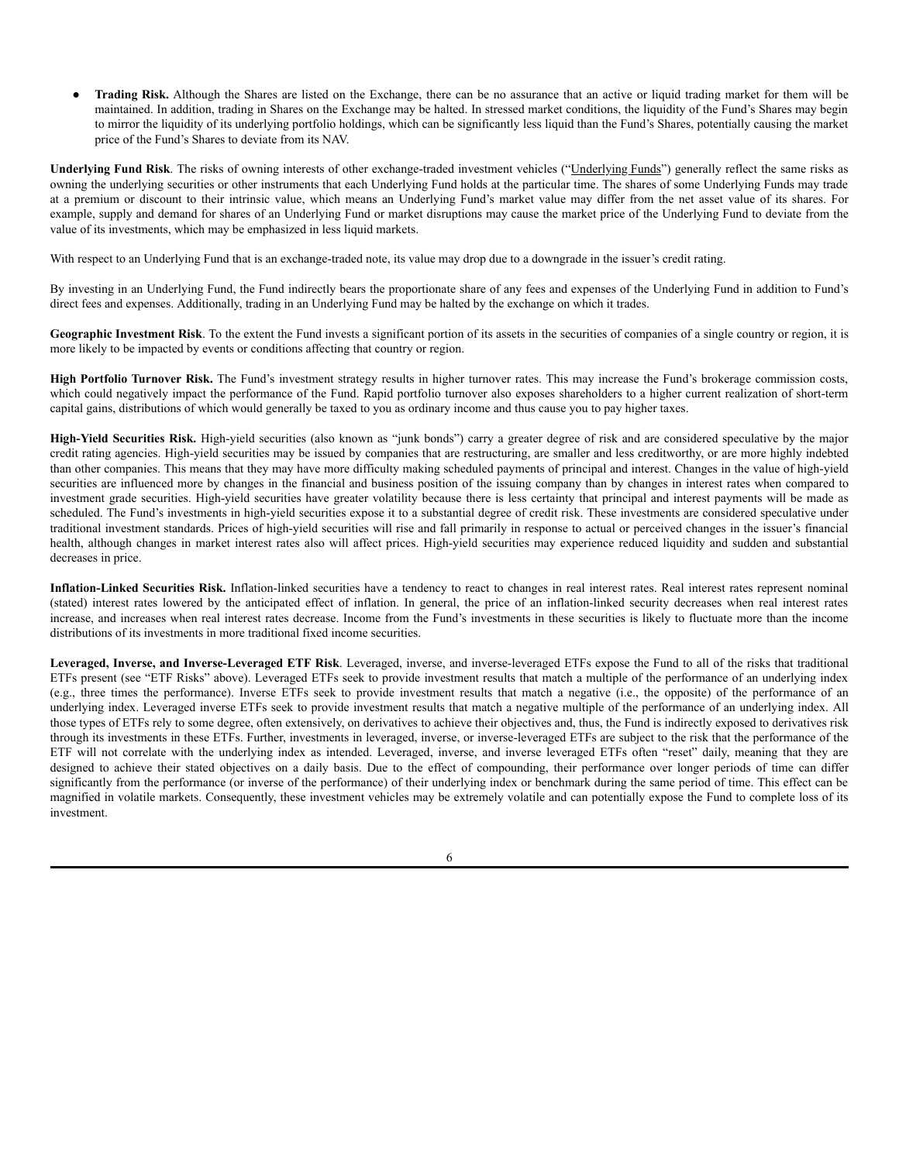● **Trading Risk.** Although the Shares are listed on the Exchange, there can be no assurance that an active or liquid trading market for them will be maintained. In addition, trading in Shares on the Exchange may be halted. In stressed market conditions, the liquidity of the Fund's Shares may begin to mirror the liquidity of its underlying portfolio holdings, which can be significantly less liquid than the Fund's Shares, potentially causing the market price of the Fund's Shares to deviate from its NAV.

**Underlying Fund Risk**. The risks of owning interests of other exchange-traded investment vehicles ("Underlying Funds") generally reflect the same risks as owning the underlying securities or other instruments that each Underlying Fund holds at the particular time. The shares of some Underlying Funds may trade at a premium or discount to their intrinsic value, which means an Underlying Fund's market value may differ from the net asset value of its shares. For example, supply and demand for shares of an Underlying Fund or market disruptions may cause the market price of the Underlying Fund to deviate from the value of its investments, which may be emphasized in less liquid markets.

With respect to an Underlying Fund that is an exchange-traded note, its value may drop due to a downgrade in the issuer's credit rating.

By investing in an Underlying Fund, the Fund indirectly bears the proportionate share of any fees and expenses of the Underlying Fund in addition to Fund's direct fees and expenses. Additionally, trading in an Underlying Fund may be halted by the exchange on which it trades.

**Geographic Investment Risk**. To the extent the Fund invests a significant portion of its assets in the securities of companies of a single country or region, it is more likely to be impacted by events or conditions affecting that country or region.

**High Portfolio Turnover Risk.** The Fund's investment strategy results in higher turnover rates. This may increase the Fund's brokerage commission costs, which could negatively impact the performance of the Fund. Rapid portfolio turnover also exposes shareholders to a higher current realization of short-term capital gains, distributions of which would generally be taxed to you as ordinary income and thus cause you to pay higher taxes.

**High-Yield Securities Risk.** High-yield securities (also known as "junk bonds") carry a greater degree of risk and are considered speculative by the major credit rating agencies. High-yield securities may be issued by companies that are restructuring, are smaller and less creditworthy, or are more highly indebted than other companies. This means that they may have more difficulty making scheduled payments of principal and interest. Changes in the value of high-yield securities are influenced more by changes in the financial and business position of the issuing company than by changes in interest rates when compared to investment grade securities. High-yield securities have greater volatility because there is less certainty that principal and interest payments will be made as scheduled. The Fund's investments in high-yield securities expose it to a substantial degree of credit risk. These investments are considered speculative under traditional investment standards. Prices of high-yield securities will rise and fall primarily in response to actual or perceived changes in the issuer's financial health, although changes in market interest rates also will affect prices. High-yield securities may experience reduced liquidity and sudden and substantial decreases in price.

**Inflation-Linked Securities Risk.** Inflation-linked securities have a tendency to react to changes in real interest rates. Real interest rates represent nominal (stated) interest rates lowered by the anticipated effect of inflation. In general, the price of an inflation-linked security decreases when real interest rates increase, and increases when real interest rates decrease. Income from the Fund's investments in these securities is likely to fluctuate more than the income distributions of its investments in more traditional fixed income securities.

**Leveraged, Inverse, and Inverse-Leveraged ETF Risk**. Leveraged, inverse, and inverse-leveraged ETFs expose the Fund to all of the risks that traditional ETFs present (see "ETF Risks" above). Leveraged ETFs seek to provide investment results that match a multiple of the performance of an underlying index (e.g., three times the performance). Inverse ETFs seek to provide investment results that match a negative (i.e., the opposite) of the performance of an underlying index. Leveraged inverse ETFs seek to provide investment results that match a negative multiple of the performance of an underlying index. All those types of ETFs rely to some degree, often extensively, on derivatives to achieve their objectives and, thus, the Fund is indirectly exposed to derivatives risk through its investments in these ETFs. Further, investments in leveraged, inverse, or inverse-leveraged ETFs are subject to the risk that the performance of the ETF will not correlate with the underlying index as intended. Leveraged, inverse, and inverse leveraged ETFs often "reset" daily, meaning that they are designed to achieve their stated objectives on a daily basis. Due to the effect of compounding, their performance over longer periods of time can differ significantly from the performance (or inverse of the performance) of their underlying index or benchmark during the same period of time. This effect can be magnified in volatile markets. Consequently, these investment vehicles may be extremely volatile and can potentially expose the Fund to complete loss of its investment.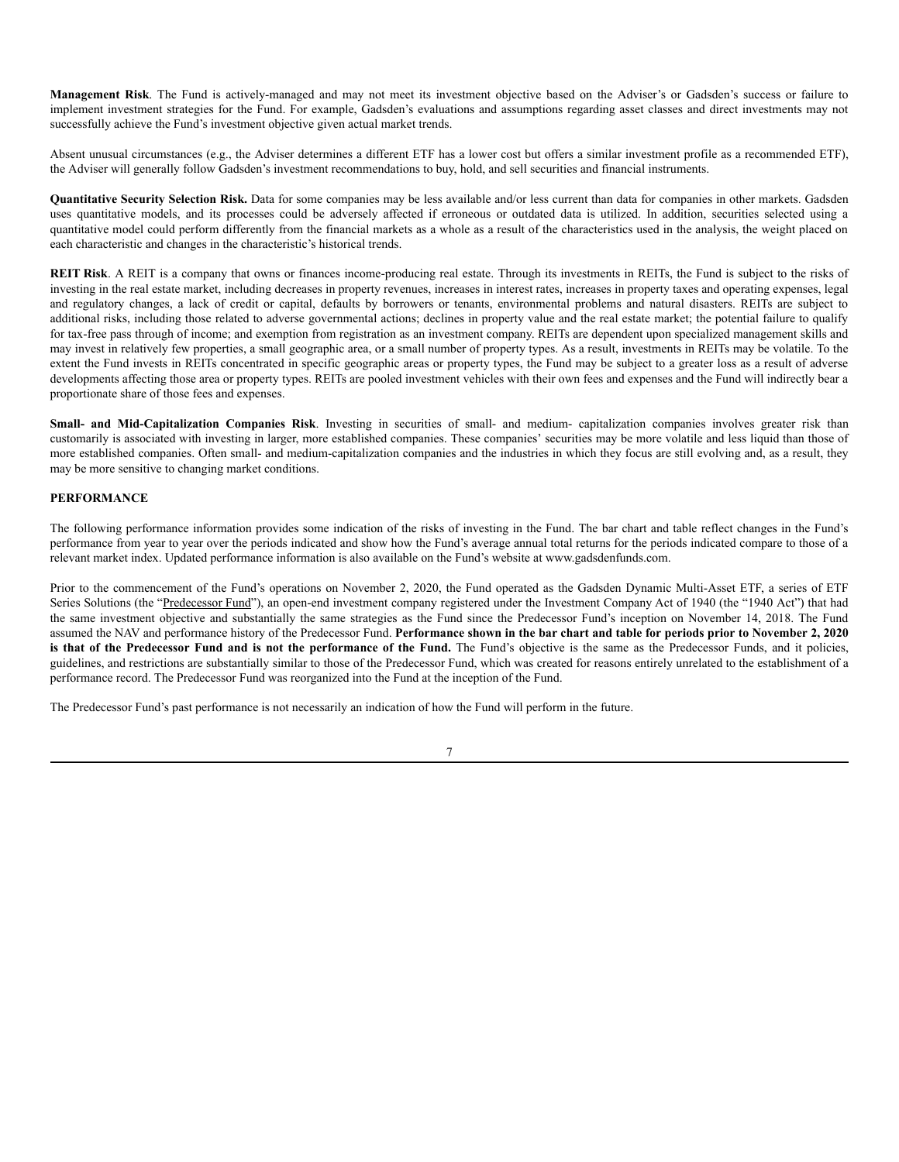**Management Risk**. The Fund is actively-managed and may not meet its investment objective based on the Adviser's or Gadsden's success or failure to implement investment strategies for the Fund. For example, Gadsden's evaluations and assumptions regarding asset classes and direct investments may not successfully achieve the Fund's investment objective given actual market trends.

Absent unusual circumstances (e.g., the Adviser determines a different ETF has a lower cost but offers a similar investment profile as a recommended ETF), the Adviser will generally follow Gadsden's investment recommendations to buy, hold, and sell securities and financial instruments.

**Quantitative Security Selection Risk.** Data for some companies may be less available and/or less current than data for companies in other markets. Gadsden uses quantitative models, and its processes could be adversely affected if erroneous or outdated data is utilized. In addition, securities selected using a quantitative model could perform differently from the financial markets as a whole as a result of the characteristics used in the analysis, the weight placed on each characteristic and changes in the characteristic's historical trends.

**REIT Risk**. A REIT is a company that owns or finances income-producing real estate. Through its investments in REITs, the Fund is subject to the risks of investing in the real estate market, including decreases in property revenues, increases in interest rates, increases in property taxes and operating expenses, legal and regulatory changes, a lack of credit or capital, defaults by borrowers or tenants, environmental problems and natural disasters. REITs are subject to additional risks, including those related to adverse governmental actions; declines in property value and the real estate market; the potential failure to qualify for tax-free pass through of income; and exemption from registration as an investment company. REITs are dependent upon specialized management skills and may invest in relatively few properties, a small geographic area, or a small number of property types. As a result, investments in REITs may be volatile. To the extent the Fund invests in REITs concentrated in specific geographic areas or property types, the Fund may be subject to a greater loss as a result of adverse developments affecting those area or property types. REITs are pooled investment vehicles with their own fees and expenses and the Fund will indirectly bear a proportionate share of those fees and expenses.

**Small- and Mid-Capitalization Companies Risk**. Investing in securities of small- and medium- capitalization companies involves greater risk than customarily is associated with investing in larger, more established companies. These companies' securities may be more volatile and less liquid than those of more established companies. Often small- and medium-capitalization companies and the industries in which they focus are still evolving and, as a result, they may be more sensitive to changing market conditions.

# **PERFORMANCE**

The following performance information provides some indication of the risks of investing in the Fund. The bar chart and table reflect changes in the Fund's performance from year to year over the periods indicated and show how the Fund's average annual total returns for the periods indicated compare to those of a relevant market index. Updated performance information is also available on the Fund's website at www.gadsdenfunds.com.

Prior to the commencement of the Fund's operations on November 2, 2020, the Fund operated as the Gadsden Dynamic Multi-Asset ETF, a series of ETF Series Solutions (the "Predecessor Fund"), an open-end investment company registered under the Investment Company Act of 1940 (the "1940 Act") that had the same investment objective and substantially the same strategies as the Fund since the Predecessor Fund's inception on November 14, 2018. The Fund assumed the NAV and performance history of the Predecessor Fund. Performance shown in the bar chart and table for periods prior to November 2, 2020 is that of the Predecessor Fund and is not the performance of the Fund. The Fund's objective is the same as the Predecessor Funds, and it policies, guidelines, and restrictions are substantially similar to those of the Predecessor Fund, which was created for reasons entirely unrelated to the establishment of a performance record. The Predecessor Fund was reorganized into the Fund at the inception of the Fund.

The Predecessor Fund's past performance is not necessarily an indication of how the Fund will perform in the future.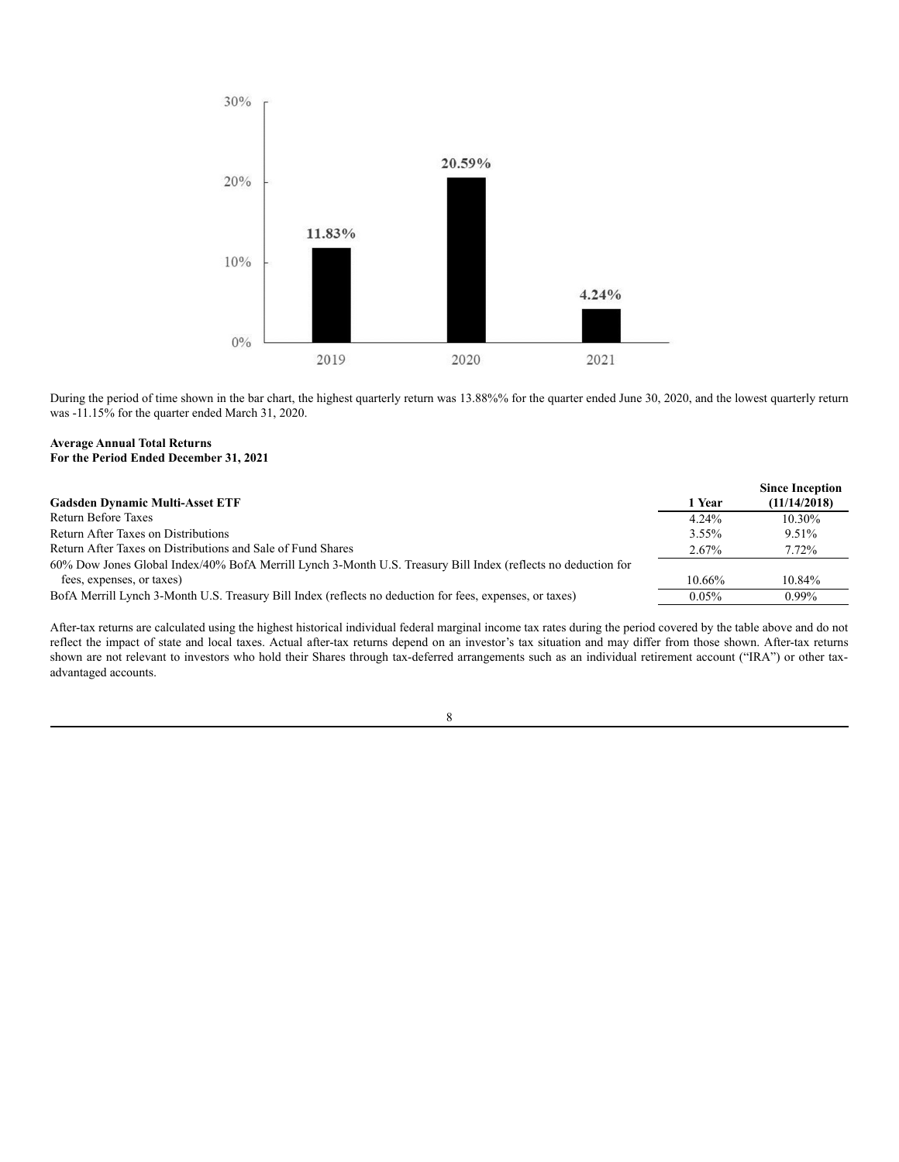

During the period of time shown in the bar chart, the highest quarterly return was 13.88%% for the quarter ended June 30, 2020, and the lowest quarterly return was -11.15% for the quarter ended March 31, 2020.

## **Average Annual Total Returns For the Period Ended December 31, 2021**

|                                                                                                               |           | <b>Since Inception</b> |
|---------------------------------------------------------------------------------------------------------------|-----------|------------------------|
| <b>Gadsden Dynamic Multi-Asset ETF</b>                                                                        | 1 Year    | (11/14/2018)           |
| Return Before Taxes                                                                                           | $4.24\%$  | $10.30\%$              |
| Return After Taxes on Distributions                                                                           | 3.55%     | 9.51%                  |
| Return After Taxes on Distributions and Sale of Fund Shares                                                   |           | 7.72%                  |
| 60% Dow Jones Global Index/40% BofA Merrill Lynch 3-Month U.S. Treasury Bill Index (reflects no deduction for |           |                        |
| fees, expenses, or taxes)                                                                                     | $10.66\%$ | 10.84%                 |
| BofA Merrill Lynch 3-Month U.S. Treasury Bill Index (reflects no deduction for fees, expenses, or taxes)      | 0.05%     | $0.99\%$               |

After-tax returns are calculated using the highest historical individual federal marginal income tax rates during the period covered by the table above and do not reflect the impact of state and local taxes. Actual after-tax returns depend on an investor's tax situation and may differ from those shown. After-tax returns shown are not relevant to investors who hold their Shares through tax-deferred arrangements such as an individual retirement account ("IRA") or other taxadvantaged accounts.